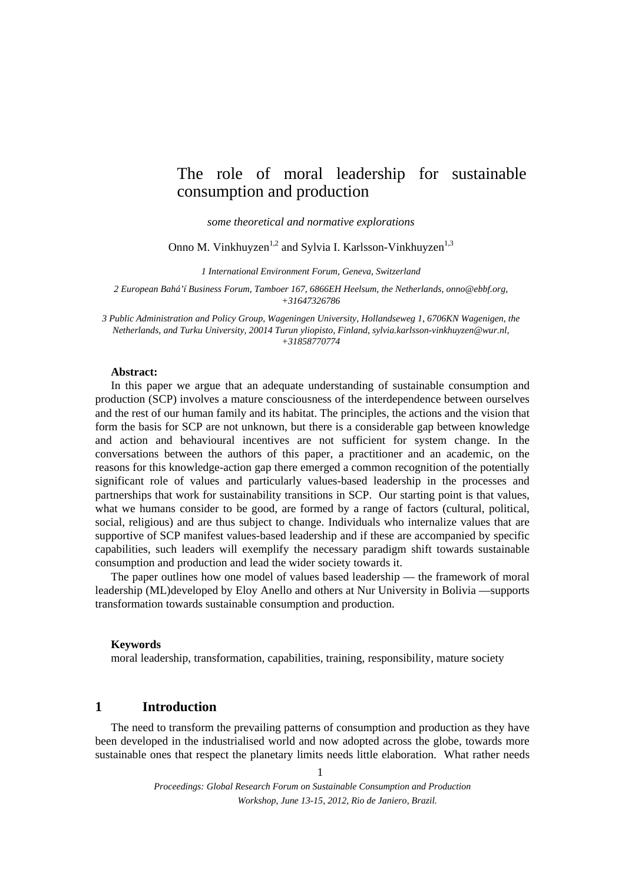# The role of moral leadership for sustainable consumption and production

*some theoretical and normative explorations* 

Onno M. Vinkhuyzen<sup>1,2</sup> and Sylvia I. Karlsson-Vinkhuyzen<sup>1,3</sup>

*1 International Environment Forum, Geneva, Switzerland* 

*2 European Bahá'í Business Forum, Tamboer 167, 6866EH Heelsum, the Netherlands, onno@ebbf.org, +31647326786* 

*3 Public Administration and Policy Group, Wageningen University, Hollandseweg 1, 6706KN Wagenigen, the Netherlands, and Turku University, 20014 Turun yliopisto, Finland, sylvia.karlsson-vinkhuyzen@wur.nl, +31858770774* 

#### **Abstract:**

In this paper we argue that an adequate understanding of sustainable consumption and production (SCP) involves a mature consciousness of the interdependence between ourselves and the rest of our human family and its habitat. The principles, the actions and the vision that form the basis for SCP are not unknown, but there is a considerable gap between knowledge and action and behavioural incentives are not sufficient for system change. In the conversations between the authors of this paper, a practitioner and an academic, on the reasons for this knowledge-action gap there emerged a common recognition of the potentially significant role of values and particularly values-based leadership in the processes and partnerships that work for sustainability transitions in SCP. Our starting point is that values, what we humans consider to be good, are formed by a range of factors (cultural, political, social, religious) and are thus subject to change. Individuals who internalize values that are supportive of SCP manifest values-based leadership and if these are accompanied by specific capabilities, such leaders will exemplify the necessary paradigm shift towards sustainable consumption and production and lead the wider society towards it.

The paper outlines how one model of values based leadership — the framework of moral leadership (ML)developed by Eloy Anello and others at Nur University in Bolivia —supports transformation towards sustainable consumption and production.

#### **Keywords**

moral leadership, transformation, capabilities, training, responsibility, mature society

# **1 Introduction**

The need to transform the prevailing patterns of consumption and production as they have been developed in the industrialised world and now adopted across the globe, towards more sustainable ones that respect the planetary limits needs little elaboration. What rather needs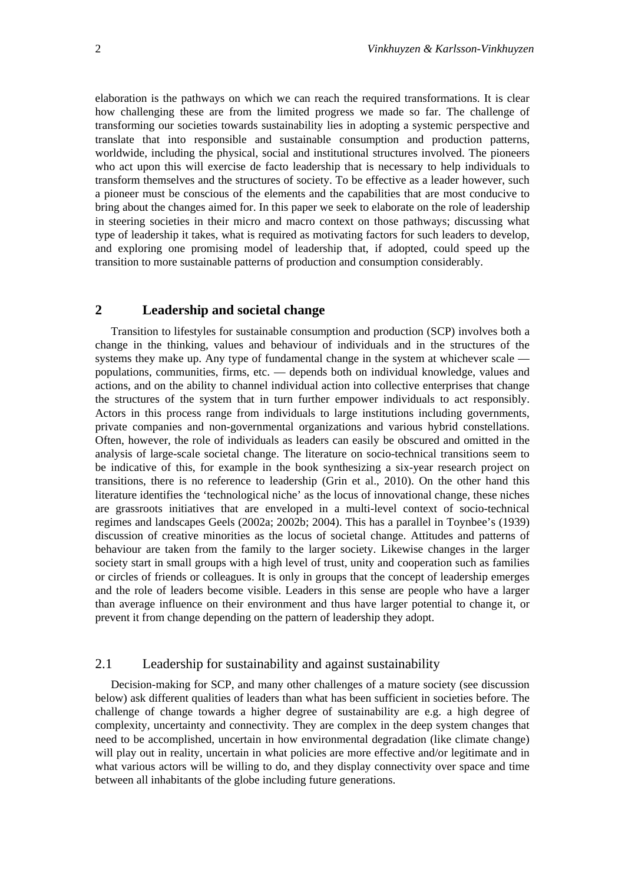elaboration is the pathways on which we can reach the required transformations. It is clear how challenging these are from the limited progress we made so far. The challenge of transforming our societies towards sustainability lies in adopting a systemic perspective and translate that into responsible and sustainable consumption and production patterns, worldwide, including the physical, social and institutional structures involved. The pioneers who act upon this will exercise de facto leadership that is necessary to help individuals to transform themselves and the structures of society. To be effective as a leader however, such a pioneer must be conscious of the elements and the capabilities that are most conducive to bring about the changes aimed for. In this paper we seek to elaborate on the role of leadership in steering societies in their micro and macro context on those pathways; discussing what type of leadership it takes, what is required as motivating factors for such leaders to develop, and exploring one promising model of leadership that, if adopted, could speed up the transition to more sustainable patterns of production and consumption considerably.

## **2 Leadership and societal change**

Transition to lifestyles for sustainable consumption and production (SCP) involves both a change in the thinking, values and behaviour of individuals and in the structures of the systems they make up. Any type of fundamental change in the system at whichever scale populations, communities, firms, etc. — depends both on individual knowledge, values and actions, and on the ability to channel individual action into collective enterprises that change the structures of the system that in turn further empower individuals to act responsibly. Actors in this process range from individuals to large institutions including governments, private companies and non-governmental organizations and various hybrid constellations. Often, however, the role of individuals as leaders can easily be obscured and omitted in the analysis of large-scale societal change. The literature on socio-technical transitions seem to be indicative of this, for example in the book synthesizing a six-year research project on transitions, there is no reference to leadership (Grin et al., 2010). On the other hand this literature identifies the 'technological niche' as the locus of innovational change, these niches are grassroots initiatives that are enveloped in a multi-level context of socio-technical regimes and landscapes Geels (2002a; 2002b; 2004). This has a parallel in Toynbee's (1939) discussion of creative minorities as the locus of societal change. Attitudes and patterns of behaviour are taken from the family to the larger society. Likewise changes in the larger society start in small groups with a high level of trust, unity and cooperation such as families or circles of friends or colleagues. It is only in groups that the concept of leadership emerges and the role of leaders become visible. Leaders in this sense are people who have a larger than average influence on their environment and thus have larger potential to change it, or prevent it from change depending on the pattern of leadership they adopt.

## 2.1 Leadership for sustainability and against sustainability

Decision-making for SCP, and many other challenges of a mature society (see discussion below) ask different qualities of leaders than what has been sufficient in societies before. The challenge of change towards a higher degree of sustainability are e.g. a high degree of complexity, uncertainty and connectivity. They are complex in the deep system changes that need to be accomplished, uncertain in how environmental degradation (like climate change) will play out in reality, uncertain in what policies are more effective and/or legitimate and in what various actors will be willing to do, and they display connectivity over space and time between all inhabitants of the globe including future generations.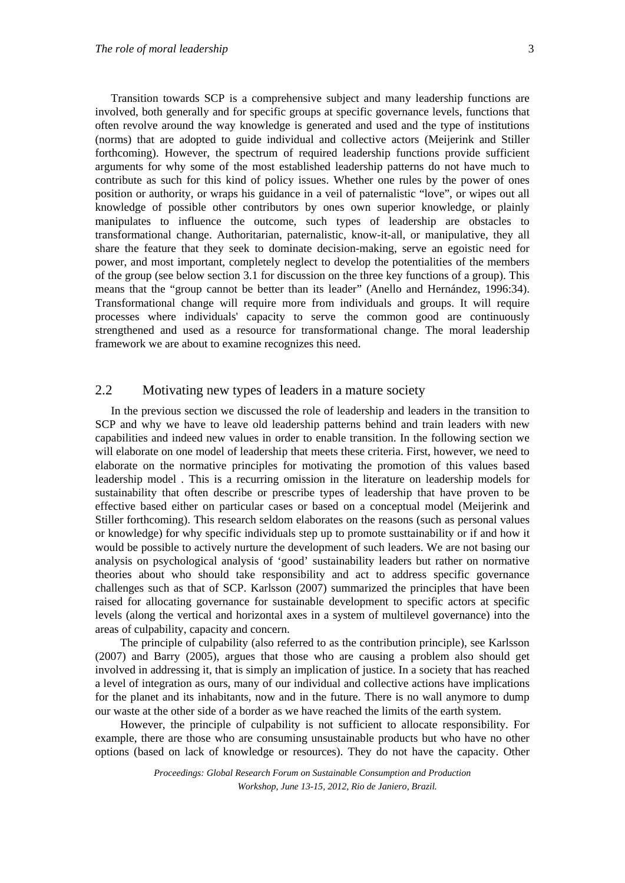Transition towards SCP is a comprehensive subject and many leadership functions are involved, both generally and for specific groups at specific governance levels, functions that often revolve around the way knowledge is generated and used and the type of institutions (norms) that are adopted to guide individual and collective actors (Meijerink and Stiller forthcoming). However, the spectrum of required leadership functions provide sufficient arguments for why some of the most established leadership patterns do not have much to contribute as such for this kind of policy issues. Whether one rules by the power of ones position or authority, or wraps his guidance in a veil of paternalistic "love", or wipes out all knowledge of possible other contributors by ones own superior knowledge, or plainly manipulates to influence the outcome, such types of leadership are obstacles to transformational change. Authoritarian, paternalistic, know-it-all, or manipulative, they all share the feature that they seek to dominate decision-making, serve an egoistic need for power, and most important, completely neglect to develop the potentialities of the members of the group (see below section 3.1 for discussion on the three key functions of a group). This means that the "group cannot be better than its leader" (Anello and Hernández, 1996:34). Transformational change will require more from individuals and groups. It will require processes where individuals' capacity to serve the common good are continuously strengthened and used as a resource for transformational change. The moral leadership framework we are about to examine recognizes this need.

## 2.2 Motivating new types of leaders in a mature society

In the previous section we discussed the role of leadership and leaders in the transition to SCP and why we have to leave old leadership patterns behind and train leaders with new capabilities and indeed new values in order to enable transition. In the following section we will elaborate on one model of leadership that meets these criteria. First, however, we need to elaborate on the normative principles for motivating the promotion of this values based leadership model . This is a recurring omission in the literature on leadership models for sustainability that often describe or prescribe types of leadership that have proven to be effective based either on particular cases or based on a conceptual model (Meijerink and Stiller forthcoming). This research seldom elaborates on the reasons (such as personal values or knowledge) for why specific individuals step up to promote susttainability or if and how it would be possible to actively nurture the development of such leaders. We are not basing our analysis on psychological analysis of 'good' sustainability leaders but rather on normative theories about who should take responsibility and act to address specific governance challenges such as that of SCP. Karlsson (2007) summarized the principles that have been raised for allocating governance for sustainable development to specific actors at specific levels (along the vertical and horizontal axes in a system of multilevel governance) into the areas of culpability, capacity and concern.

 The principle of culpability (also referred to as the contribution principle), see Karlsson (2007) and Barry (2005), argues that those who are causing a problem also should get involved in addressing it, that is simply an implication of justice. In a society that has reached a level of integration as ours, many of our individual and collective actions have implications for the planet and its inhabitants, now and in the future. There is no wall anymore to dump our waste at the other side of a border as we have reached the limits of the earth system.

 However, the principle of culpability is not sufficient to allocate responsibility. For example, there are those who are consuming unsustainable products but who have no other options (based on lack of knowledge or resources). They do not have the capacity. Other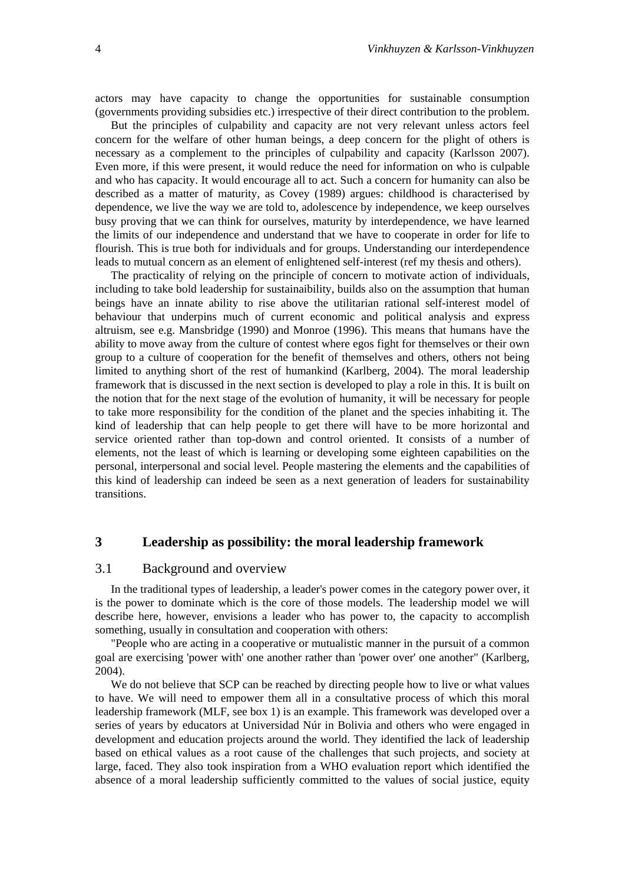actors may have capacity to change the opportunities for sustainable consumption (governments providing subsidies etc.) irrespective of their direct contribution to the problem.

But the principles of culpability and capacity are not very relevant unless actors feel concern for the welfare of other human beings, a deep concern for the plight of others is necessary as a complement to the principles of culpability and capacity (Karlsson 2007). Even more, if this were present, it would reduce the need for information on who is culpable and who has capacity. It would encourage all to act. Such a concern for humanity can also be described as a matter of maturity, as Covey (1989) argues: childhood is characterised by dependence, we live the way we are told to, adolescence by independence, we keep ourselves busy proving that we can think for ourselves, maturity by interdependence, we have learned the limits of our independence and understand that we have to cooperate in order for life to flourish. This is true both for individuals and for groups. Understanding our interdependence leads to mutual concern as an element of enlightened self-interest (ref my thesis and others).

The practicality of relying on the principle of concern to motivate action of individuals, including to take bold leadership for sustainaibility, builds also on the assumption that human beings have an innate ability to rise above the utilitarian rational self-interest model of behaviour that underpins much of current economic and political analysis and express altruism, see e.g. Mansbridge (1990) and Monroe (1996). This means that humans have the ability to move away from the culture of contest where egos fight for themselves or their own group to a culture of cooperation for the benefit of themselves and others, others not being limited to anything short of the rest of humankind (Karlberg, 2004). The moral leadership framework that is discussed in the next section is developed to play a role in this. It is built on the notion that for the next stage of the evolution of humanity, it will be necessary for people to take more responsibility for the condition of the planet and the species inhabiting it. The kind of leadership that can help people to get there will have to be more horizontal and service oriented rather than top-down and control oriented. It consists of a number of elements, not the least of which is learning or developing some eighteen capabilities on the personal, interpersonal and social level. People mastering the elements and the capabilities of this kind of leadership can indeed be seen as a next generation of leaders for sustainability transitions.

# **3 Leadership as possibility: the moral leadership framework**

#### 3.1 Background and overview

In the traditional types of leadership, a leader's power comes in the category power over, it is the power to dominate which is the core of those models. The leadership model we will describe here, however, envisions a leader who has power to, the capacity to accomplish something, usually in consultation and cooperation with others:

"People who are acting in a cooperative or mutualistic manner in the pursuit of a common goal are exercising 'power with' one another rather than 'power over' one another" (Karlberg, 2004).

We do not believe that SCP can be reached by directing people how to live or what values to have. We will need to empower them all in a consultative process of which this moral leadership framework (MLF, see box 1) is an example. This framework was developed over a series of years by educators at Universidad Núr in Bolivia and others who were engaged in development and education projects around the world. They identified the lack of leadership based on ethical values as a root cause of the challenges that such projects, and society at large, faced. They also took inspiration from a WHO evaluation report which identified the absence of a moral leadership sufficiently committed to the values of social justice, equity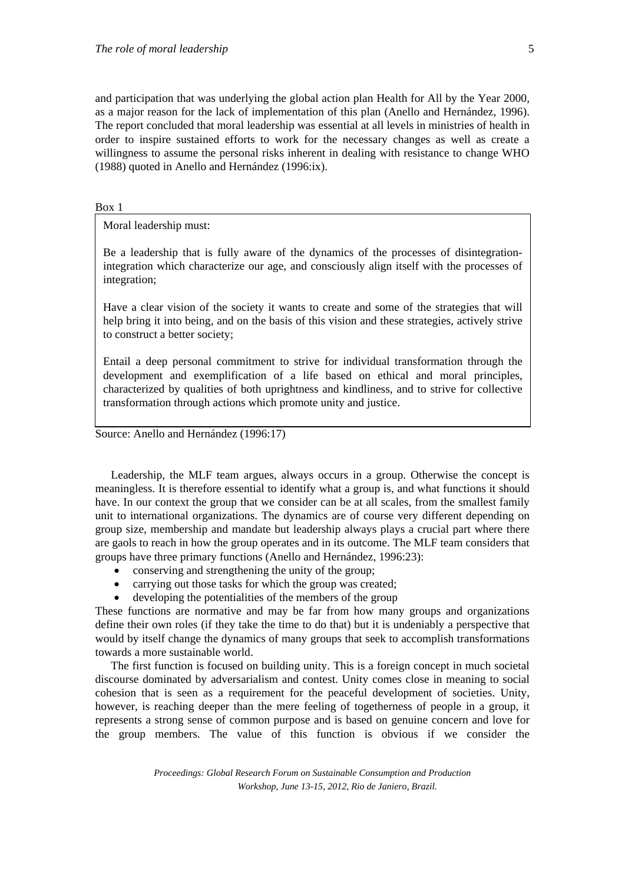and participation that was underlying the global action plan Health for All by the Year 2000, as a major reason for the lack of implementation of this plan (Anello and Hernández, 1996). The report concluded that moral leadership was essential at all levels in ministries of health in order to inspire sustained efforts to work for the necessary changes as well as create a willingness to assume the personal risks inherent in dealing with resistance to change WHO (1988) quoted in Anello and Hernández (1996:ix).

Box 1

Moral leadership must:

Be a leadership that is fully aware of the dynamics of the processes of disintegrationintegration which characterize our age, and consciously align itself with the processes of integration;

Have a clear vision of the society it wants to create and some of the strategies that will help bring it into being, and on the basis of this vision and these strategies, actively strive to construct a better society;

Entail a deep personal commitment to strive for individual transformation through the development and exemplification of a life based on ethical and moral principles, characterized by qualities of both uprightness and kindliness, and to strive for collective transformation through actions which promote unity and justice.

Source: Anello and Hernández (1996:17)

Leadership, the MLF team argues, always occurs in a group. Otherwise the concept is meaningless. It is therefore essential to identify what a group is, and what functions it should have. In our context the group that we consider can be at all scales, from the smallest family unit to international organizations. The dynamics are of course very different depending on group size, membership and mandate but leadership always plays a crucial part where there are gaols to reach in how the group operates and in its outcome. The MLF team considers that groups have three primary functions (Anello and Hernández, 1996:23):

- conserving and strengthening the unity of the group;
- carrying out those tasks for which the group was created;
- developing the potentialities of the members of the group

These functions are normative and may be far from how many groups and organizations define their own roles (if they take the time to do that) but it is undeniably a perspective that would by itself change the dynamics of many groups that seek to accomplish transformations towards a more sustainable world.

The first function is focused on building unity. This is a foreign concept in much societal discourse dominated by adversarialism and contest. Unity comes close in meaning to social cohesion that is seen as a requirement for the peaceful development of societies. Unity, however, is reaching deeper than the mere feeling of togetherness of people in a group, it represents a strong sense of common purpose and is based on genuine concern and love for the group members. The value of this function is obvious if we consider the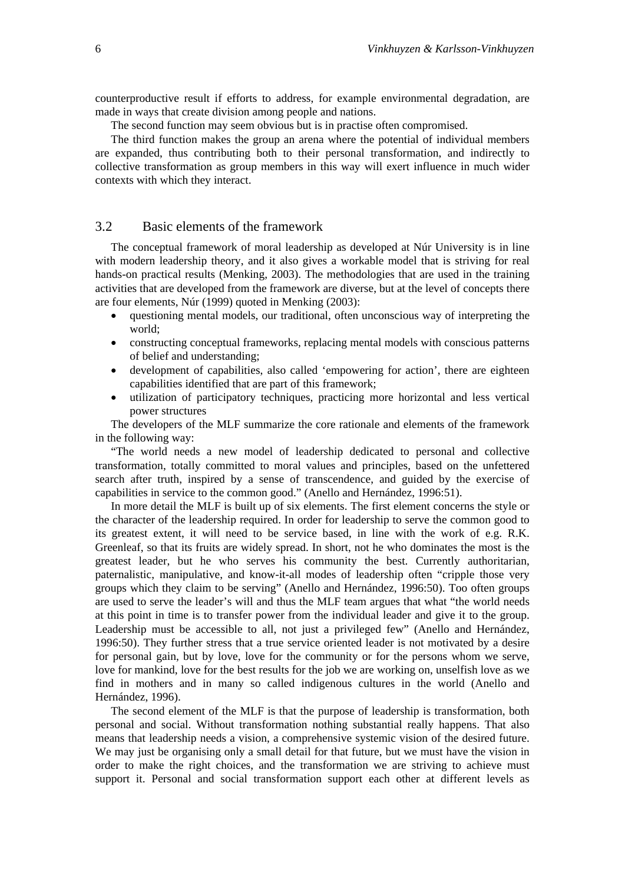counterproductive result if efforts to address, for example environmental degradation, are made in ways that create division among people and nations.

The second function may seem obvious but is in practise often compromised.

The third function makes the group an arena where the potential of individual members are expanded, thus contributing both to their personal transformation, and indirectly to collective transformation as group members in this way will exert influence in much wider contexts with which they interact.

#### 3.2 Basic elements of the framework

The conceptual framework of moral leadership as developed at Núr University is in line with modern leadership theory, and it also gives a workable model that is striving for real hands-on practical results (Menking, 2003). The methodologies that are used in the training activities that are developed from the framework are diverse, but at the level of concepts there are four elements, Núr (1999) quoted in Menking (2003):

- questioning mental models, our traditional, often unconscious way of interpreting the world;
- constructing conceptual frameworks, replacing mental models with conscious patterns of belief and understanding;
- development of capabilities, also called 'empowering for action', there are eighteen capabilities identified that are part of this framework;
- utilization of participatory techniques, practicing more horizontal and less vertical power structures

The developers of the MLF summarize the core rationale and elements of the framework in the following way:

"The world needs a new model of leadership dedicated to personal and collective transformation, totally committed to moral values and principles, based on the unfettered search after truth, inspired by a sense of transcendence, and guided by the exercise of capabilities in service to the common good." (Anello and Hernández, 1996:51).

In more detail the MLF is built up of six elements. The first element concerns the style or the character of the leadership required. In order for leadership to serve the common good to its greatest extent, it will need to be service based, in line with the work of e.g. R.K. Greenleaf, so that its fruits are widely spread. In short, not he who dominates the most is the greatest leader, but he who serves his community the best. Currently authoritarian, paternalistic, manipulative, and know-it-all modes of leadership often "cripple those very groups which they claim to be serving" (Anello and Hernández, 1996:50). Too often groups are used to serve the leader's will and thus the MLF team argues that what "the world needs at this point in time is to transfer power from the individual leader and give it to the group. Leadership must be accessible to all, not just a privileged few" (Anello and Hernández, 1996:50). They further stress that a true service oriented leader is not motivated by a desire for personal gain, but by love, love for the community or for the persons whom we serve, love for mankind, love for the best results for the job we are working on, unselfish love as we find in mothers and in many so called indigenous cultures in the world (Anello and Hernández, 1996).

The second element of the MLF is that the purpose of leadership is transformation, both personal and social. Without transformation nothing substantial really happens. That also means that leadership needs a vision, a comprehensive systemic vision of the desired future. We may just be organising only a small detail for that future, but we must have the vision in order to make the right choices, and the transformation we are striving to achieve must support it. Personal and social transformation support each other at different levels as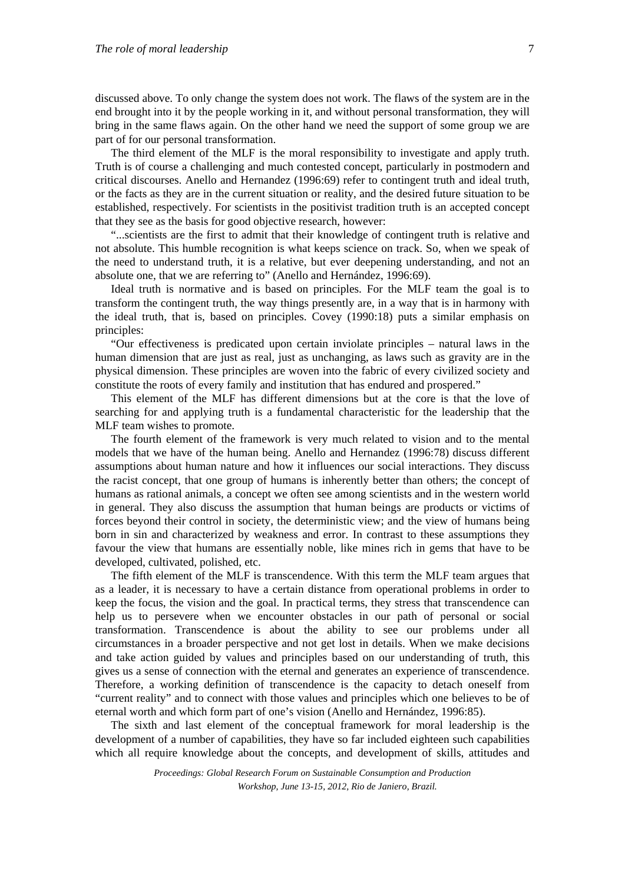discussed above. To only change the system does not work. The flaws of the system are in the end brought into it by the people working in it, and without personal transformation, they will bring in the same flaws again. On the other hand we need the support of some group we are part of for our personal transformation.

The third element of the MLF is the moral responsibility to investigate and apply truth. Truth is of course a challenging and much contested concept, particularly in postmodern and critical discourses. Anello and Hernandez (1996:69) refer to contingent truth and ideal truth, or the facts as they are in the current situation or reality, and the desired future situation to be established, respectively. For scientists in the positivist tradition truth is an accepted concept that they see as the basis for good objective research, however:

"...scientists are the first to admit that their knowledge of contingent truth is relative and not absolute. This humble recognition is what keeps science on track. So, when we speak of the need to understand truth, it is a relative, but ever deepening understanding, and not an absolute one, that we are referring to" (Anello and Hernández, 1996:69).

Ideal truth is normative and is based on principles. For the MLF team the goal is to transform the contingent truth, the way things presently are, in a way that is in harmony with the ideal truth, that is, based on principles. Covey (1990:18) puts a similar emphasis on principles:

"Our effectiveness is predicated upon certain inviolate principles – natural laws in the human dimension that are just as real, just as unchanging, as laws such as gravity are in the physical dimension. These principles are woven into the fabric of every civilized society and constitute the roots of every family and institution that has endured and prospered."

This element of the MLF has different dimensions but at the core is that the love of searching for and applying truth is a fundamental characteristic for the leadership that the MLF team wishes to promote.

The fourth element of the framework is very much related to vision and to the mental models that we have of the human being. Anello and Hernandez (1996:78) discuss different assumptions about human nature and how it influences our social interactions. They discuss the racist concept, that one group of humans is inherently better than others; the concept of humans as rational animals, a concept we often see among scientists and in the western world in general. They also discuss the assumption that human beings are products or victims of forces beyond their control in society, the deterministic view; and the view of humans being born in sin and characterized by weakness and error. In contrast to these assumptions they favour the view that humans are essentially noble, like mines rich in gems that have to be developed, cultivated, polished, etc.

The fifth element of the MLF is transcendence. With this term the MLF team argues that as a leader, it is necessary to have a certain distance from operational problems in order to keep the focus, the vision and the goal. In practical terms, they stress that transcendence can help us to persevere when we encounter obstacles in our path of personal or social transformation. Transcendence is about the ability to see our problems under all circumstances in a broader perspective and not get lost in details. When we make decisions and take action guided by values and principles based on our understanding of truth, this gives us a sense of connection with the eternal and generates an experience of transcendence. Therefore, a working definition of transcendence is the capacity to detach oneself from "current reality" and to connect with those values and principles which one believes to be of eternal worth and which form part of one's vision (Anello and Hernández, 1996:85).

The sixth and last element of the conceptual framework for moral leadership is the development of a number of capabilities, they have so far included eighteen such capabilities which all require knowledge about the concepts, and development of skills, attitudes and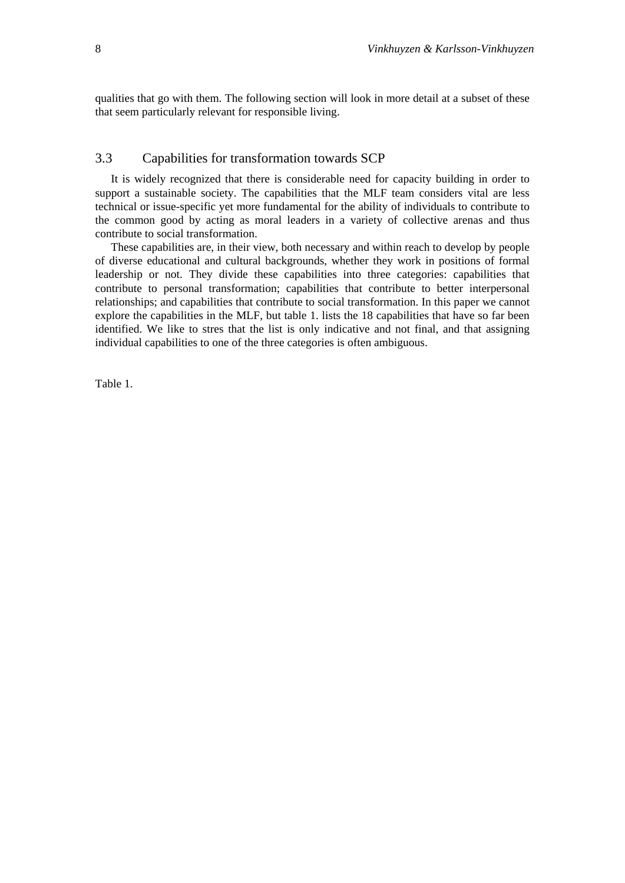qualities that go with them. The following section will look in more detail at a subset of these that seem particularly relevant for responsible living.

# 3.3 Capabilities for transformation towards SCP

It is widely recognized that there is considerable need for capacity building in order to support a sustainable society. The capabilities that the MLF team considers vital are less technical or issue-specific yet more fundamental for the ability of individuals to contribute to the common good by acting as moral leaders in a variety of collective arenas and thus contribute to social transformation.

These capabilities are, in their view, both necessary and within reach to develop by people of diverse educational and cultural backgrounds, whether they work in positions of formal leadership or not. They divide these capabilities into three categories: capabilities that contribute to personal transformation; capabilities that contribute to better interpersonal relationships; and capabilities that contribute to social transformation. In this paper we cannot explore the capabilities in the MLF, but table 1. lists the 18 capabilities that have so far been identified. We like to stres that the list is only indicative and not final, and that assigning individual capabilities to one of the three categories is often ambiguous.

Table 1.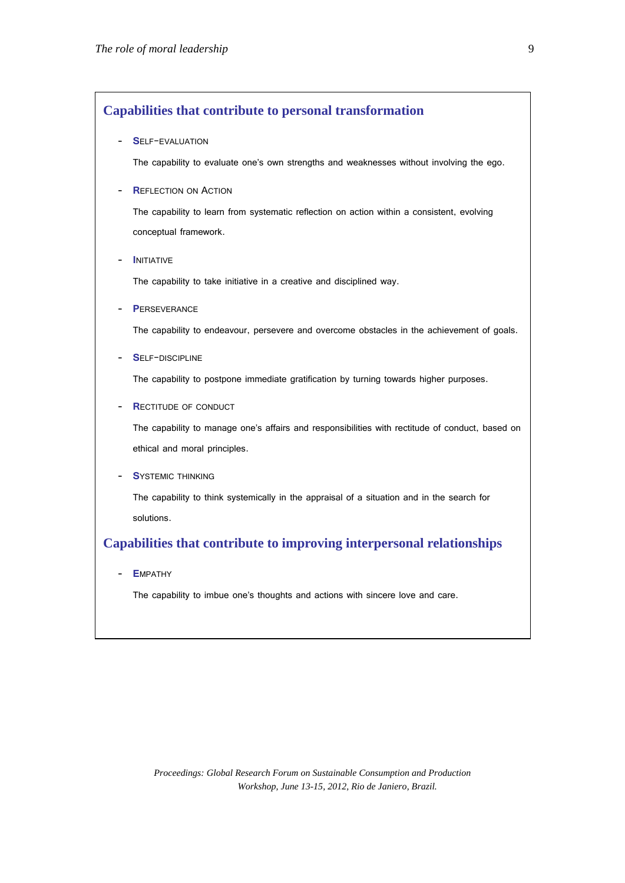## **Capabilities that contribute to personal transformation**

#### - **S**ELF-EVALUATION

The capability to evaluate one's own strengths and weaknesses without involving the ego.

#### - **R**EFLECTION ON ACTION

The capability to learn from systematic reflection on action within a consistent, evolving conceptual framework.

#### - **I**NITIATIVE

The capability to take initiative in a creative and disciplined way.

**PERSEVERANCE** 

The capability to endeavour, persevere and overcome obstacles in the achievement of goals.

SELF-DISCIPLINE

The capability to postpone immediate gratification by turning towards higher purposes.

- **R**ECTITUDE OF CONDUCT

The capability to manage one's affairs and responsibilities with rectitude of conduct, based on ethical and moral principles.

**SYSTEMIC THINKING** 

The capability to think systemically in the appraisal of a situation and in the search for solutions.

## **Capabilities that contribute to improving interpersonal relationships**

- **E**MPATHY

The capability to imbue one's thoughts and actions with sincere love and care.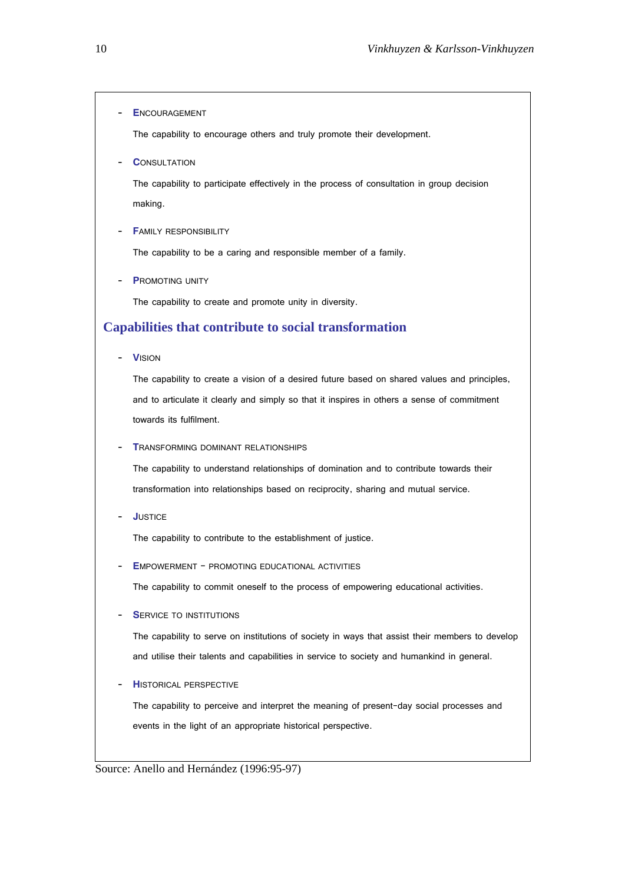- **E**NCOURAGEMENT

The capability to encourage others and truly promote their development.

**CONSULTATION** 

The capability to participate effectively in the process of consultation in group decision making.

**FAMILY RESPONSIBILITY** 

The capability to be a caring and responsible member of a family.

**P**ROMOTING UNITY

The capability to create and promote unity in diversity.

# **Capabilities that contribute to social transformation**

- **V**ISION

The capability to create a vision of a desired future based on shared values and principles, and to articulate it clearly and simply so that it inspires in others a sense of commitment towards its fulfilment.

**TRANSFORMING DOMINANT RELATIONSHIPS** 

The capability to understand relationships of domination and to contribute towards their transformation into relationships based on reciprocity, sharing and mutual service.

- **J**USTICE

The capability to contribute to the establishment of justice.

**EMPOWERMENT - PROMOTING EDUCATIONAL ACTIVITIES** 

The capability to commit oneself to the process of empowering educational activities.

**SERVICE TO INSTITUTIONS** 

The capability to serve on institutions of society in ways that assist their members to develop and utilise their talents and capabilities in service to society and humankind in general.

**HISTORICAL PERSPECTIVE** 

The capability to perceive and interpret the meaning of present-day social processes and events in the light of an appropriate historical perspective.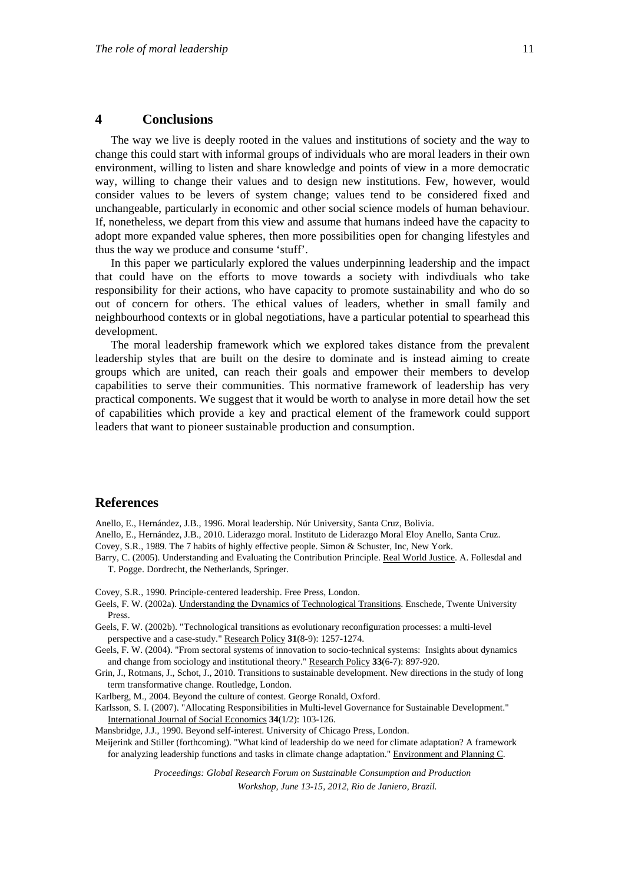#### **4 Conclusions**

The way we live is deeply rooted in the values and institutions of society and the way to change this could start with informal groups of individuals who are moral leaders in their own environment, willing to listen and share knowledge and points of view in a more democratic way, willing to change their values and to design new institutions. Few, however, would consider values to be levers of system change; values tend to be considered fixed and unchangeable, particularly in economic and other social science models of human behaviour. If, nonetheless, we depart from this view and assume that humans indeed have the capacity to adopt more expanded value spheres, then more possibilities open for changing lifestyles and thus the way we produce and consume 'stuff'.

In this paper we particularly explored the values underpinning leadership and the impact that could have on the efforts to move towards a society with indivdiuals who take responsibility for their actions, who have capacity to promote sustainability and who do so out of concern for others. The ethical values of leaders, whether in small family and neighbourhood contexts or in global negotiations, have a particular potential to spearhead this development.

The moral leadership framework which we explored takes distance from the prevalent leadership styles that are built on the desire to dominate and is instead aiming to create groups which are united, can reach their goals and empower their members to develop capabilities to serve their communities. This normative framework of leadership has very practical components. We suggest that it would be worth to analyse in more detail how the set of capabilities which provide a key and practical element of the framework could support leaders that want to pioneer sustainable production and consumption.

#### **References**

Anello, E., Hernández, J.B., 1996. Moral leadership. Núr University, Santa Cruz, Bolivia.

Anello, E., Hernández, J.B., 2010. Liderazgo moral. Instituto de Liderazgo Moral Eloy Anello, Santa Cruz.

Covey, S.R., 1989. The 7 habits of highly effective people. Simon & Schuster, Inc, New York.

Barry, C. (2005). Understanding and Evaluating the Contribution Principle. Real World Justice. A. Follesdal and T. Pogge. Dordrecht, the Netherlands, Springer.

Covey, S.R., 1990. Principle-centered leadership. Free Press, London.

- Geels, F. W. (2002a). Understanding the Dynamics of Technological Transitions. Enschede, Twente University Press.
- Geels, F. W. (2002b). "Technological transitions as evolutionary reconfiguration processes: a multi-level perspective and a case-study." Research Policy **31**(8-9): 1257-1274.
- Geels, F. W. (2004). "From sectoral systems of innovation to socio-technical systems: Insights about dynamics and change from sociology and institutional theory." Research Policy **33**(6-7): 897-920.
- Grin, J., Rotmans, J., Schot, J., 2010. Transitions to sustainable development. New directions in the study of long term transformative change. Routledge, London.
- Karlberg, M., 2004. Beyond the culture of contest. George Ronald, Oxford.

Karlsson, S. I. (2007). "Allocating Responsibilities in Multi-level Governance for Sustainable Development." International Journal of Social Economics **34**(1/2): 103-126.

Mansbridge, J.J., 1990. Beyond self-interest. University of Chicago Press, London.

Meijerink and Stiller (forthcoming). "What kind of leadership do we need for climate adaptation? A framework for analyzing leadership functions and tasks in climate change adaptation." Environment and Planning C.